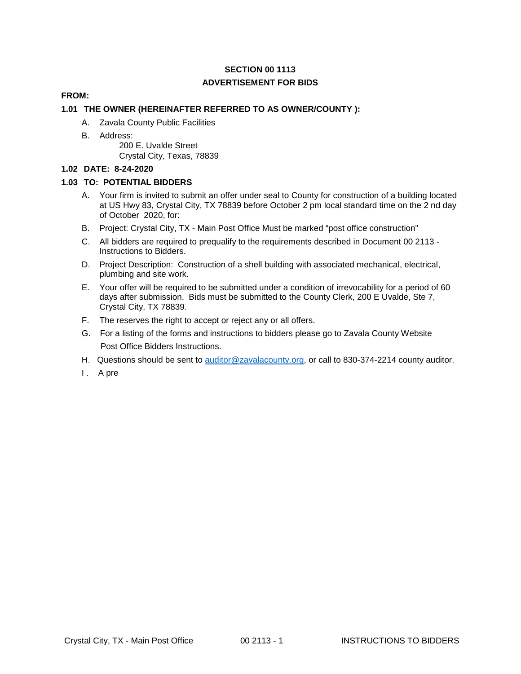# **SECTION 00 1113 ADVERTISEMENT FOR BIDS**

### **FROM:**

### **1.01 THE OWNER (HEREINAFTER REFERRED TO AS OWNER/COUNTY ):**

- A. Zavala County Public Facilities
- B. Address:

200 E. Uvalde Street Crystal City, Texas, 78839

#### **1.02 DATE: 8-24-2020**

### **1.03 TO: POTENTIAL BIDDERS**

- A. Your firm is invited to submit an offer under seal to County for construction of a building located at US Hwy 83, Crystal City, TX 78839 before October 2 pm local standard time on the 2 nd day of October 2020, for:
- B. Project: Crystal City, TX Main Post Office Must be marked "post office construction"
- C. All bidders are required to prequalify to the requirements described in Document 00 2113 Instructions to Bidders.
- D. Project Description: Construction of a shell building with associated mechanical, electrical, plumbing and site work.
- E. Your offer will be required to be submitted under a condition of irrevocability for a period of 60 days after submission. Bids must be submitted to the County Clerk, 200 E Uvalde, Ste 7, Crystal City, TX 78839.
- F. The reserves the right to accept or reject any or all offers.
- G. For a listing of the forms and instructions to bidders please go to Zavala County Website Post Office Bidders Instructions.
- H. Questions should be sent to [auditor@zavalacounty.org,](mailto:auditor@zavalacounty.org) or call to 830-374-2214 county auditor.
- I. A pre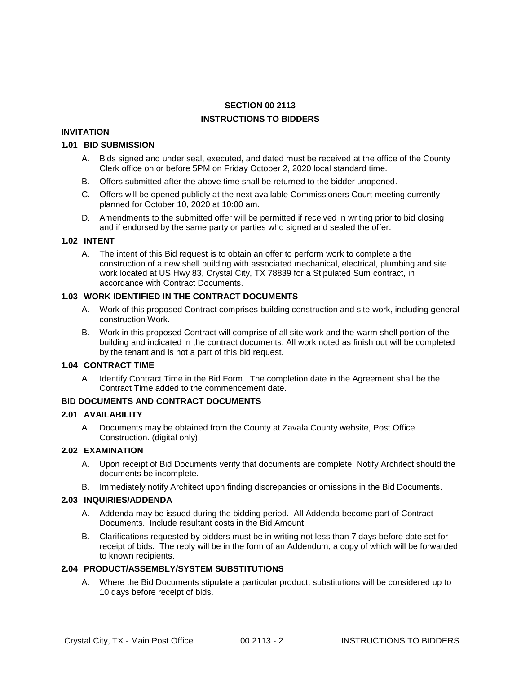# **SECTION 00 2113 INSTRUCTIONS TO BIDDERS**

#### **INVITATION**

#### **1.01 BID SUBMISSION**

- A. Bids signed and under seal, executed, and dated must be received at the office of the County Clerk office on or before 5PM on Friday October 2, 2020 local standard time.
- B. Offers submitted after the above time shall be returned to the bidder unopened.
- C. Offers will be opened publicly at the next available Commissioners Court meeting currently planned for October 10, 2020 at 10:00 am.
- D. Amendments to the submitted offer will be permitted if received in writing prior to bid closing and if endorsed by the same party or parties who signed and sealed the offer.

### **1.02 INTENT**

A. The intent of this Bid request is to obtain an offer to perform work to complete a the construction of a new shell building with associated mechanical, electrical, plumbing and site work located at US Hwy 83, Crystal City, TX 78839 for a Stipulated Sum contract, in accordance with Contract Documents.

### **1.03 WORK IDENTIFIED IN THE CONTRACT DOCUMENTS**

- A. Work of this proposed Contract comprises building construction and site work, including general construction Work.
- B. Work in this proposed Contract will comprise of all site work and the warm shell portion of the building and indicated in the contract documents. All work noted as finish out will be completed by the tenant and is not a part of this bid request.

### **1.04 CONTRACT TIME**

A. Identify Contract Time in the Bid Form. The completion date in the Agreement shall be the Contract Time added to the commencement date.

### **BID DOCUMENTS AND CONTRACT DOCUMENTS**

#### **2.01 AVAILABILITY**

A. Documents may be obtained from the County at Zavala County website, Post Office Construction. (digital only).

#### **2.02 EXAMINATION**

- A. Upon receipt of Bid Documents verify that documents are complete. Notify Architect should the documents be incomplete.
- B. Immediately notify Architect upon finding discrepancies or omissions in the Bid Documents.

### **2.03 INQUIRIES/ADDENDA**

- A. Addenda may be issued during the bidding period. All Addenda become part of Contract Documents. Include resultant costs in the Bid Amount.
- B. Clarifications requested by bidders must be in writing not less than 7 days before date set for receipt of bids. The reply will be in the form of an Addendum, a copy of which will be forwarded to known recipients.

### **2.04 PRODUCT/ASSEMBLY/SYSTEM SUBSTITUTIONS**

A. Where the Bid Documents stipulate a particular product, substitutions will be considered up to 10 days before receipt of bids.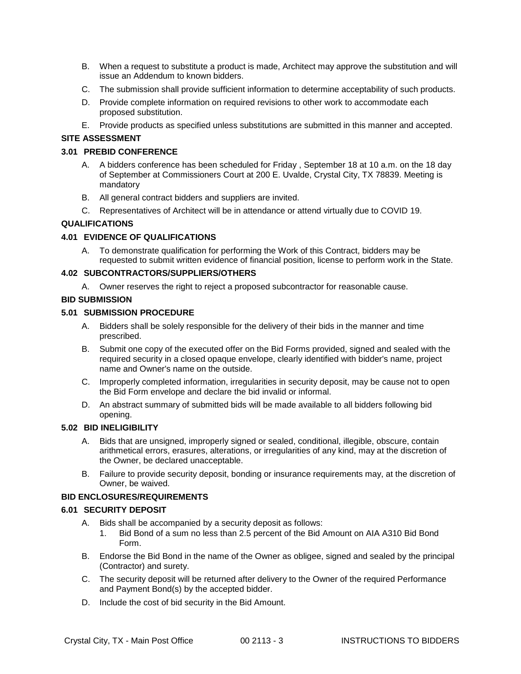- B. When a request to substitute a product is made, Architect may approve the substitution and will issue an Addendum to known bidders.
- C. The submission shall provide sufficient information to determine acceptability of such products.
- D. Provide complete information on required revisions to other work to accommodate each proposed substitution.
- E. Provide products as specified unless substitutions are submitted in this manner and accepted.

### **SITE ASSESSMENT**

### **3.01 PREBID CONFERENCE**

- A. A bidders conference has been scheduled for Friday , September 18 at 10 a.m. on the 18 day of September at Commissioners Court at 200 E. Uvalde, Crystal City, TX 78839. Meeting is mandatory
- B. All general contract bidders and suppliers are invited.
- C. Representatives of Architect will be in attendance or attend virtually due to COVID 19.

### **QUALIFICATIONS**

### **4.01 EVIDENCE OF QUALIFICATIONS**

A. To demonstrate qualification for performing the Work of this Contract, bidders may be requested to submit written evidence of financial position, license to perform work in the State.

#### **4.02 SUBCONTRACTORS/SUPPLIERS/OTHERS**

A. Owner reserves the right to reject a proposed subcontractor for reasonable cause.

#### **BID SUBMISSION**

#### **5.01 SUBMISSION PROCEDURE**

- A. Bidders shall be solely responsible for the delivery of their bids in the manner and time prescribed.
- B. Submit one copy of the executed offer on the Bid Forms provided, signed and sealed with the required security in a closed opaque envelope, clearly identified with bidder's name, project name and Owner's name on the outside.
- C. Improperly completed information, irregularities in security deposit, may be cause not to open the Bid Form envelope and declare the bid invalid or informal.
- D. An abstract summary of submitted bids will be made available to all bidders following bid opening.

#### **5.02 BID INELIGIBILITY**

- A. Bids that are unsigned, improperly signed or sealed, conditional, illegible, obscure, contain arithmetical errors, erasures, alterations, or irregularities of any kind, may at the discretion of the Owner, be declared unacceptable.
- B. Failure to provide security deposit, bonding or insurance requirements may, at the discretion of Owner, be waived.

#### **BID ENCLOSURES/REQUIREMENTS**

#### **6.01 SECURITY DEPOSIT**

- A. Bids shall be accompanied by a security deposit as follows:
	- 1. Bid Bond of a sum no less than 2.5 percent of the Bid Amount on AIA A310 Bid Bond Form.
- B. Endorse the Bid Bond in the name of the Owner as obligee, signed and sealed by the principal (Contractor) and surety.
- C. The security deposit will be returned after delivery to the Owner of the required Performance and Payment Bond(s) by the accepted bidder.
- D. Include the cost of bid security in the Bid Amount.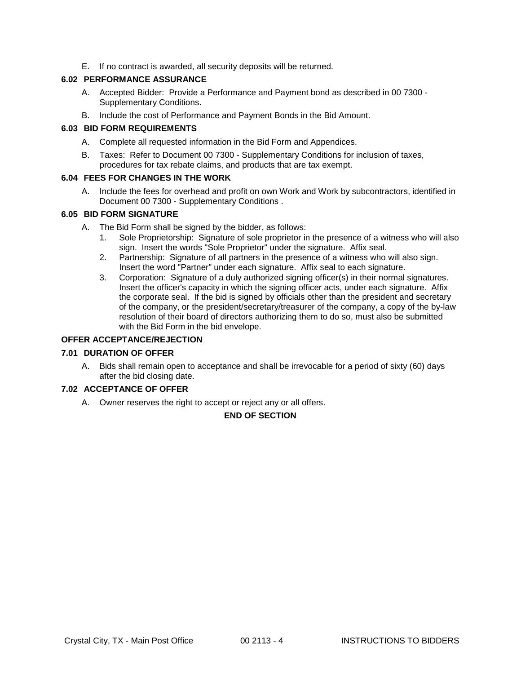E. If no contract is awarded, all security deposits will be returned.

### **6.02 PERFORMANCE ASSURANCE**

- A. Accepted Bidder: Provide a Performance and Payment bond as described in 00 7300 Supplementary Conditions.
- B. Include the cost of Performance and Payment Bonds in the Bid Amount.

#### **6.03 BID FORM REQUIREMENTS**

- A. Complete all requested information in the Bid Form and Appendices.
- B. Taxes: Refer to Document 00 7300 Supplementary Conditions for inclusion of taxes, procedures for tax rebate claims, and products that are tax exempt.

### **6.04 FEES FOR CHANGES IN THE WORK**

A. Include the fees for overhead and profit on own Work and Work by subcontractors, identified in Document 00 7300 - Supplementary Conditions .

#### **6.05 BID FORM SIGNATURE**

- A. The Bid Form shall be signed by the bidder, as follows:
	- 1. Sole Proprietorship: Signature of sole proprietor in the presence of a witness who will also sign. Insert the words "Sole Proprietor" under the signature. Affix seal.
	- 2. Partnership: Signature of all partners in the presence of a witness who will also sign. Insert the word "Partner" under each signature. Affix seal to each signature.
	- 3. Corporation: Signature of a duly authorized signing officer(s) in their normal signatures. Insert the officer's capacity in which the signing officer acts, under each signature. Affix the corporate seal. If the bid is signed by officials other than the president and secretary of the company, or the president/secretary/treasurer of the company, a copy of the by-law resolution of their board of directors authorizing them to do so, must also be submitted with the Bid Form in the bid envelope.

### **OFFER ACCEPTANCE/REJECTION**

### **7.01 DURATION OF OFFER**

A. Bids shall remain open to acceptance and shall be irrevocable for a period of sixty (60) days after the bid closing date.

#### **7.02 ACCEPTANCE OF OFFER**

A. Owner reserves the right to accept or reject any or all offers.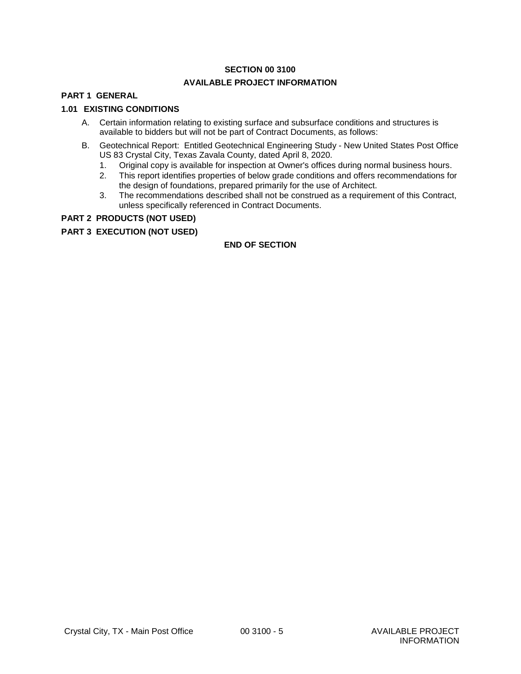# **SECTION 00 3100 AVAILABLE PROJECT INFORMATION**

# **PART 1 GENERAL**

### **1.01 EXISTING CONDITIONS**

- A. Certain information relating to existing surface and subsurface conditions and structures is available to bidders but will not be part of Contract Documents, as follows:
- B. Geotechnical Report: Entitled Geotechnical Engineering Study New United States Post Office US 83 Crystal City, Texas Zavala County, dated April 8, 2020.
	- 1. Original copy is available for inspection at Owner's offices during normal business hours.
	- 2. This report identifies properties of below grade conditions and offers recommendations for the design of foundations, prepared primarily for the use of Architect.
	- 3. The recommendations described shall not be construed as a requirement of this Contract, unless specifically referenced in Contract Documents.

#### **PART 2 PRODUCTS (NOT USED)**

#### **PART 3 EXECUTION (NOT USED)**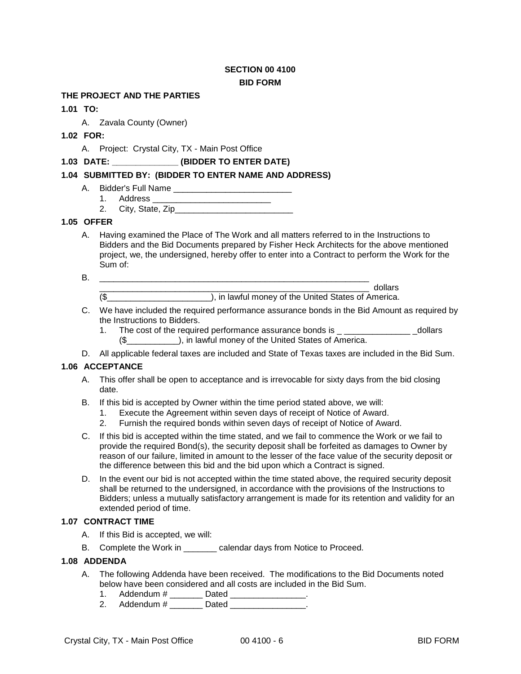# **SECTION 00 4100 BID FORM**

# **THE PROJECT AND THE PARTIES**

### **1.01 TO:**

A. Zavala County (Owner)

# **1.02 FOR:**

A. Project: Crystal City, TX - Main Post Office

### **1.03 DATE: \_\_\_\_\_\_\_\_\_\_\_\_\_\_ (BIDDER TO ENTER DATE)**

### **1.04 SUBMITTED BY: (BIDDER TO ENTER NAME AND ADDRESS)**

- A. Bidder's Full Name \_\_\_\_\_\_\_\_\_\_\_\_\_\_\_\_\_\_\_\_\_\_\_\_\_
	- 1. Address \_\_\_\_\_\_
	- 2. City, State, Zip\_\_\_\_\_\_\_\_\_\_\_\_\_\_\_\_\_\_\_\_\_\_\_\_\_

#### **1.05 OFFER**

- A. Having examined the Place of The Work and all matters referred to in the Instructions to Bidders and the Bid Documents prepared by Fisher Heck Architects for the above mentioned project, we, the undersigned, hereby offer to enter into a Contract to perform the Work for the Sum of:
- B. \_\_\_\_\_\_\_\_\_\_\_\_\_\_\_\_\_\_\_\_\_\_\_\_\_\_\_\_\_\_\_\_\_\_\_\_\_\_\_\_\_\_\_\_\_\_\_\_\_\_\_\_\_\_\_\_\_

\_\_\_\_\_\_\_\_\_\_\_\_\_\_\_\_\_\_\_\_\_\_\_\_\_\_\_\_\_\_\_\_\_\_\_\_\_\_\_\_\_\_\_\_\_\_\_\_\_\_\_\_\_\_\_\_\_ dollars

(\$\_\_\_\_\_\_\_\_\_\_\_\_\_\_\_\_\_\_\_\_\_\_), in lawful money of the United States of America.

- C. We have included the required performance assurance bonds in the Bid Amount as required by the Instructions to Bidders.
	- 1. The cost of the required performance assurance bonds is \_ \_\_\_\_\_\_\_\_\_\_\_\_\_\_\_\_\_\_ dollars (\$\_\_\_\_\_\_\_\_\_\_\_), in lawful money of the United States of America.
- D. All applicable federal taxes are included and State of Texas taxes are included in the Bid Sum.

#### **1.06 ACCEPTANCE**

- A. This offer shall be open to acceptance and is irrevocable for sixty days from the bid closing date.
- B. If this bid is accepted by Owner within the time period stated above, we will:
	- 1. Execute the Agreement within seven days of receipt of Notice of Award.
	- 2. Furnish the required bonds within seven days of receipt of Notice of Award.
- C. If this bid is accepted within the time stated, and we fail to commence the Work or we fail to provide the required Bond(s), the security deposit shall be forfeited as damages to Owner by reason of our failure, limited in amount to the lesser of the face value of the security deposit or the difference between this bid and the bid upon which a Contract is signed.
- D. In the event our bid is not accepted within the time stated above, the required security deposit shall be returned to the undersigned, in accordance with the provisions of the Instructions to Bidders; unless a mutually satisfactory arrangement is made for its retention and validity for an extended period of time.

#### **1.07 CONTRACT TIME**

- A. If this Bid is accepted, we will:
- B. Complete the Work in calendar days from Notice to Proceed.

#### **1.08 ADDENDA**

- A. The following Addenda have been received. The modifications to the Bid Documents noted below have been considered and all costs are included in the Bid Sum.
	- 1. Addendum # \_\_\_\_\_\_\_\_ Dated \_\_\_\_\_\_\_\_\_\_\_\_\_\_\_\_\_.
	- 2. Addendum # \_\_\_\_\_\_\_\_ Dated \_\_\_\_\_\_\_\_\_\_\_\_\_\_\_\_.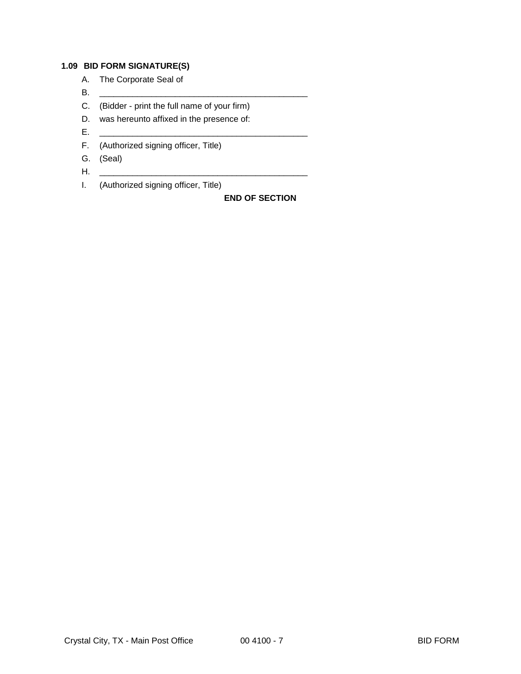### **1.09 BID FORM SIGNATURE(S)**

- A. The Corporate Seal of
- B. \_\_\_\_\_\_\_\_\_\_\_\_\_\_\_\_\_\_\_\_\_\_\_\_\_\_\_\_\_\_\_\_\_\_\_\_\_\_\_\_\_\_\_\_
- C. (Bidder print the full name of your firm)
- D. was hereunto affixed in the presence of:
- E. \_\_\_\_\_\_\_\_\_\_\_\_\_\_\_\_\_\_\_\_\_\_\_\_\_\_\_\_\_\_\_\_\_\_\_\_\_\_\_\_\_\_\_\_
- F. (Authorized signing officer, Title)
- G. (Seal)
- H. \_\_\_\_\_\_\_\_\_\_\_\_\_\_\_\_\_\_\_\_\_\_\_\_\_\_\_\_\_\_\_\_\_\_\_\_\_\_\_\_\_\_\_\_
- I. (Authorized signing officer, Title)